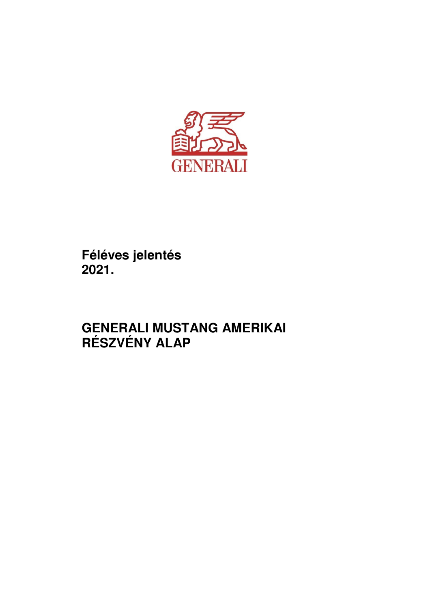

**Féléves jelentés 2021.** 

# **GENERALI MUSTANG AMERIKAI RÉSZVÉNY ALAP**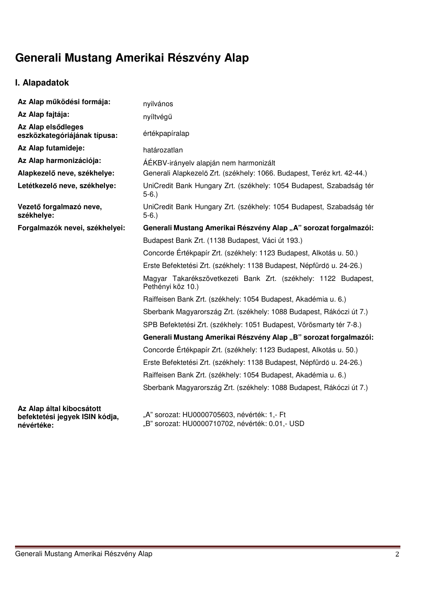# **Generali Mustang Amerikai Részvény Alap**

# **I. Alapadatok**

| Az Alap működési formája:                                   | nyilvános                                                                           |
|-------------------------------------------------------------|-------------------------------------------------------------------------------------|
| Az Alap fajtája:                                            | nyíltvégű                                                                           |
| Az Alap elsődleges<br>eszközkategóriájának típusa:          | értékpapíralap                                                                      |
| Az Alap futamideje:                                         | határozatlan                                                                        |
| Az Alap harmonizációja:                                     | ÁÉKBV-irányelv alapján nem harmonizált                                              |
| Alapkezelő neve, székhelye:                                 | Generali Alapkezelő Zrt. (székhely: 1066. Budapest, Teréz krt. 42-44.)              |
| Letétkezelő neve, székhelye:                                | UniCredit Bank Hungary Zrt. (székhely: 1054 Budapest, Szabadság tér<br>$5-6.$       |
| Vezető forgalmazó neve,<br>székhelye:                       | UniCredit Bank Hungary Zrt. (székhely: 1054 Budapest, Szabadság tér<br>$5-6.$       |
| Forgalmazók nevei, székhelyei:                              | Generali Mustang Amerikai Részvény Alap "A" sorozat forgalmazói:                    |
|                                                             | Budapest Bank Zrt. (1138 Budapest, Váci út 193.)                                    |
|                                                             | Concorde Értékpapír Zrt. (székhely: 1123 Budapest, Alkotás u. 50.)                  |
|                                                             | Erste Befektetési Zrt. (székhely: 1138 Budapest, Népfürdő u. 24-26.)                |
|                                                             | Magyar Takarékszövetkezeti Bank Zrt. (székhely: 1122 Budapest,<br>Pethényi köz 10.) |
|                                                             | Raiffeisen Bank Zrt. (székhely: 1054 Budapest, Akadémia u. 6.)                      |
|                                                             | Sberbank Magyarország Zrt. (székhely: 1088 Budapest, Rákóczi út 7.)                 |
|                                                             | SPB Befektetési Zrt. (székhely: 1051 Budapest, Vörösmarty tér 7-8.)                 |
|                                                             | Generali Mustang Amerikai Részvény Alap "B" sorozat forgalmazói:                    |
|                                                             | Concorde Értékpapír Zrt. (székhely: 1123 Budapest, Alkotás u. 50.)                  |
|                                                             | Erste Befektetési Zrt. (székhely: 1138 Budapest, Népfürdő u. 24-26.)                |
|                                                             | Raiffeisen Bank Zrt. (székhely: 1054 Budapest, Akadémia u. 6.)                      |
|                                                             | Sberbank Magyarország Zrt. (székhely: 1088 Budapest, Rákóczi út 7.)                 |
| Az Alap által kibocsátott<br>hafaktatási januak ICINI kádia | "A" sorozat: HU0000705603, névérték: 1,- Ft                                         |

**befektetési jegyek ISIN kódja, névértéke:** 

"A" sorozat: HU0000705603, névérték: 1,- Ft "B" sorozat: HU0000710702, névérték: 0.01,- USD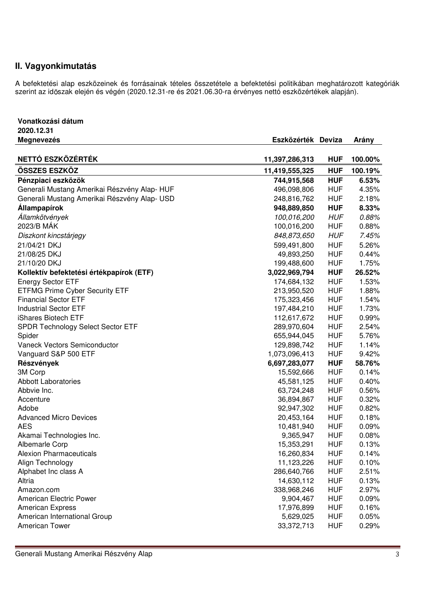## **II. Vagyonkimutatás**

**Vonatkozási dátum** 

A befektetési alap eszközeinek és forrásainak tételes összetétele a befektetési politikában meghatározott kategóriák szerint az időszak elején és végén (2020.12.31-re és 2021.06.30-ra érvényes nettó eszközértékek alapján).

| 2020.12.31                                   |                    |            |         |
|----------------------------------------------|--------------------|------------|---------|
| <b>Megnevezés</b>                            | Eszközérték Deviza |            | Arány   |
|                                              |                    |            |         |
| NETTÓ ESZKÖZÉRTÉK                            | 11,397,286,313     | <b>HUF</b> | 100.00% |
| ÖSSZES ESZKÖZ                                | 11,419,555,325     | <b>HUF</b> | 100.19% |
| Pénzpiaci eszközök                           | 744,915,568        | <b>HUF</b> | 6.53%   |
| Generali Mustang Amerikai Részvény Alap-HUF  | 496,098,806        | <b>HUF</b> | 4.35%   |
| Generali Mustang Amerikai Részvény Alap- USD | 248,816,762        | <b>HUF</b> | 2.18%   |
| <b>Állampapírok</b>                          | 948,889,850        | <b>HUF</b> | 8.33%   |
| Államkötvények                               | 100,016,200        | <b>HUF</b> | 0.88%   |
| 2023/B MÁK                                   | 100,016,200        | <b>HUF</b> | 0.88%   |
| Diszkont kincstárjegy                        | 848,873,650        | <b>HUF</b> | 7.45%   |
| 21/04/21 DKJ                                 | 599,491,800        | <b>HUF</b> | 5.26%   |
| 21/08/25 DKJ                                 | 49,893,250         | <b>HUF</b> | 0.44%   |
| 21/10/20 DKJ                                 | 199,488,600        | <b>HUF</b> | 1.75%   |
| Kollektív befektetési értékpapírok (ETF)     | 3,022,969,794      | <b>HUF</b> | 26.52%  |
| <b>Energy Sector ETF</b>                     | 174,684,132        | <b>HUF</b> | 1.53%   |
| <b>ETFMG Prime Cyber Security ETF</b>        | 213,950,520        | <b>HUF</b> | 1.88%   |
| <b>Financial Sector ETF</b>                  | 175,323,456        | <b>HUF</b> | 1.54%   |
| <b>Industrial Sector ETF</b>                 | 197,484,210        | <b>HUF</b> | 1.73%   |
| iShares Biotech ETF                          | 112,617,672        | <b>HUF</b> | 0.99%   |
| SPDR Technology Select Sector ETF            | 289,970,604        | <b>HUF</b> | 2.54%   |
| Spider                                       | 655,944,045        | <b>HUF</b> | 5.76%   |
| Vaneck Vectors Semiconductor                 | 129,898,742        | <b>HUF</b> | 1.14%   |
| Vanguard S&P 500 ETF                         | 1,073,096,413      | <b>HUF</b> | 9.42%   |
| Részvények                                   | 6,697,283,077      | <b>HUF</b> | 58.76%  |
| 3M Corp                                      | 15,592,666         | <b>HUF</b> | 0.14%   |
| <b>Abbott Laboratories</b>                   | 45,581,125         | <b>HUF</b> | 0.40%   |
| Abbvie Inc.                                  | 63,724,248         | <b>HUF</b> | 0.56%   |
| Accenture                                    | 36,894,867         | <b>HUF</b> | 0.32%   |
| Adobe                                        | 92,947,302         | <b>HUF</b> | 0.82%   |
| <b>Advanced Micro Devices</b>                | 20,453,164         | <b>HUF</b> | 0.18%   |
| <b>AES</b>                                   | 10,481,940         | <b>HUF</b> | 0.09%   |
| Akamai Technologies Inc.                     | 9,365,947          | <b>HUF</b> | 0.08%   |
| Albemarle Corp                               | 15,353,291         | <b>HUF</b> | 0.13%   |
| Alexion Pharmaceuticals                      | 16,260,834         | HUF        | 0.14%   |
| Align Technology                             | 11,123,226         | <b>HUF</b> | 0.10%   |
| Alphabet Inc class A                         | 286,640,766        | <b>HUF</b> | 2.51%   |
| Altria                                       | 14,630,112         | <b>HUF</b> | 0.13%   |
| Amazon.com                                   | 338,968,246        | <b>HUF</b> | 2.97%   |
| American Electric Power                      | 9,904,467          | <b>HUF</b> | 0.09%   |
| <b>American Express</b>                      | 17,976,899         | <b>HUF</b> | 0.16%   |
| American International Group                 | 5,629,025          | <b>HUF</b> | 0.05%   |
| American Tower                               | 33,372,713         | <b>HUF</b> | 0.29%   |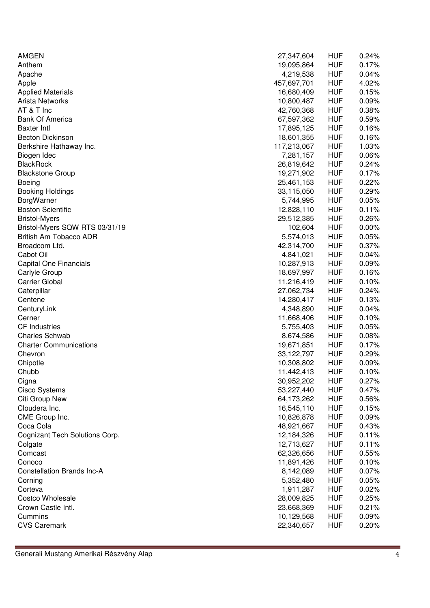| <b>AMGEN</b>                      | 27,347,604  | <b>HUF</b>               | 0.24%          |
|-----------------------------------|-------------|--------------------------|----------------|
| Anthem                            | 19,095,864  | <b>HUF</b>               | 0.17%          |
| Apache                            | 4,219,538   | <b>HUF</b>               | 0.04%          |
| Apple                             | 457,697,701 | <b>HUF</b>               | 4.02%          |
| <b>Applied Materials</b>          | 16,680,409  | <b>HUF</b>               | 0.15%          |
| Arista Networks                   | 10,800,487  | <b>HUF</b>               | 0.09%          |
| AT & T Inc                        | 42,760,368  | <b>HUF</b>               | 0.38%          |
| <b>Bank Of America</b>            | 67,597,362  | <b>HUF</b>               | 0.59%          |
| <b>Baxter Intl</b>                | 17,895,125  | <b>HUF</b>               | 0.16%          |
| <b>Becton Dickinson</b>           | 18,601,355  | <b>HUF</b>               | 0.16%          |
| Berkshire Hathaway Inc.           | 117,213,067 | <b>HUF</b>               | 1.03%          |
| Biogen Idec                       | 7,281,157   | <b>HUF</b>               | 0.06%          |
| <b>BlackRock</b>                  | 26,819,642  | <b>HUF</b>               | 0.24%          |
| <b>Blackstone Group</b>           | 19,271,902  | <b>HUF</b>               | 0.17%          |
| <b>Boeing</b>                     | 25,461,153  | <b>HUF</b>               | 0.22%          |
| <b>Booking Holdings</b>           | 33,115,050  | <b>HUF</b>               | 0.29%          |
| BorgWarner                        | 5,744,995   | <b>HUF</b>               | 0.05%          |
| <b>Boston Scientific</b>          | 12,828,110  | <b>HUF</b>               | 0.11%          |
| <b>Bristol-Myers</b>              | 29,512,385  | <b>HUF</b>               | 0.26%          |
| Bristol-Myers SQW RTS 03/31/19    | 102,604     | <b>HUF</b>               | 0.00%          |
| British Am Tobacco ADR            | 5,574,013   | <b>HUF</b>               | 0.05%          |
| Broadcom Ltd.                     | 42,314,700  | <b>HUF</b>               | 0.37%          |
| Cabot Oil                         | 4,841,021   | <b>HUF</b>               | 0.04%          |
| <b>Capital One Financials</b>     | 10,287,913  | <b>HUF</b>               | 0.09%          |
| Carlyle Group                     | 18,697,997  | <b>HUF</b>               | 0.16%          |
| <b>Carrier Global</b>             | 11,216,419  | <b>HUF</b>               | 0.10%          |
|                                   |             | <b>HUF</b>               | 0.24%          |
| Caterpillar                       | 27,062,734  | <b>HUF</b>               | 0.13%          |
| Centene                           | 14,280,417  | <b>HUF</b>               | 0.04%          |
| CenturyLink<br>Cerner             | 4,348,890   | <b>HUF</b>               | 0.10%          |
| <b>CF</b> Industries              | 11,668,406  |                          |                |
| <b>Charles Schwab</b>             | 5,755,403   | <b>HUF</b><br><b>HUF</b> | 0.05%          |
|                                   | 8,674,586   |                          | 0.08%<br>0.17% |
| <b>Charter Communications</b>     | 19,671,851  | <b>HUF</b>               |                |
| Chevron                           | 33,122,797  | <b>HUF</b><br><b>HUF</b> | 0.29%          |
| Chipotle<br>Chubb                 | 10,308,802  |                          | 0.09%          |
|                                   | 11,442,413  | <b>HUF</b>               | 0.10%          |
| Cigna                             | 30,952,202  | <b>HUF</b>               | 0.27%          |
| <b>Cisco Systems</b>              | 53,227,440  | <b>HUF</b>               | 0.47%          |
| Citi Group New                    | 64,173,262  | <b>HUF</b>               | 0.56%          |
| Cloudera Inc.                     | 16,545,110  | <b>HUF</b>               | 0.15%          |
| CME Group Inc.                    | 10,826,878  | <b>HUF</b>               | 0.09%          |
| Coca Cola                         | 48,921,667  | <b>HUF</b>               | 0.43%          |
| Cognizant Tech Solutions Corp.    | 12,184,326  | <b>HUF</b>               | 0.11%          |
| Colgate                           | 12,713,627  | <b>HUF</b>               | 0.11%          |
| Comcast                           | 62,326,656  | <b>HUF</b>               | 0.55%          |
| Conoco                            | 11,891,426  | <b>HUF</b>               | 0.10%          |
| <b>Constellation Brands Inc-A</b> | 8,142,089   | <b>HUF</b>               | 0.07%          |
| Corning                           | 5,352,480   | <b>HUF</b>               | 0.05%          |
| Corteva                           | 1,911,287   | <b>HUF</b>               | 0.02%          |
| Costco Wholesale                  | 28,009,825  | <b>HUF</b>               | 0.25%          |
| Crown Castle Intl.                | 23,668,369  | <b>HUF</b>               | 0.21%          |
| Cummins                           | 10,129,568  | <b>HUF</b>               | 0.09%          |
| <b>CVS Caremark</b>               | 22,340,657  | <b>HUF</b>               | 0.20%          |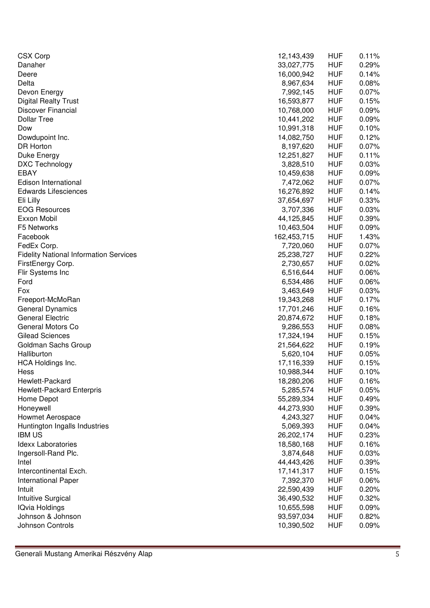| <b>CSX Corp</b>                               | 12,143,439   | <b>HUF</b> | 0.11% |
|-----------------------------------------------|--------------|------------|-------|
| Danaher                                       | 33,027,775   | <b>HUF</b> | 0.29% |
| Deere                                         | 16,000,942   | <b>HUF</b> | 0.14% |
| Delta                                         | 8,967,634    | <b>HUF</b> | 0.08% |
| Devon Energy                                  | 7,992,145    | <b>HUF</b> | 0.07% |
| <b>Digital Realty Trust</b>                   | 16,593,877   | <b>HUF</b> | 0.15% |
| Discover Financial                            | 10,768,000   | <b>HUF</b> | 0.09% |
| <b>Dollar Tree</b>                            | 10,441,202   | <b>HUF</b> | 0.09% |
| Dow                                           | 10,991,318   | <b>HUF</b> | 0.10% |
| Dowdupoint Inc.                               | 14,082,750   | <b>HUF</b> | 0.12% |
| <b>DR Horton</b>                              | 8,197,620    | <b>HUF</b> | 0.07% |
| Duke Energy                                   | 12,251,827   | <b>HUF</b> | 0.11% |
| DXC Technology                                | 3,828,510    | <b>HUF</b> | 0.03% |
| <b>EBAY</b>                                   | 10,459,638   | <b>HUF</b> | 0.09% |
| Edison International                          | 7,472,062    | <b>HUF</b> | 0.07% |
| <b>Edwards Lifesciences</b>                   | 16,276,892   | <b>HUF</b> | 0.14% |
| Eli Lilly                                     | 37,654,697   | <b>HUF</b> | 0.33% |
| <b>EOG Resources</b>                          | 3,707,336    | <b>HUF</b> | 0.03% |
| Exxon Mobil                                   | 44,125,845   | <b>HUF</b> | 0.39% |
| F5 Networks                                   | 10,463,504   | <b>HUF</b> | 0.09% |
| Facebook                                      | 162,453,715  | <b>HUF</b> | 1.43% |
| FedEx Corp.                                   | 7,720,060    | <b>HUF</b> | 0.07% |
| <b>Fidelity National Information Services</b> | 25,238,727   | <b>HUF</b> | 0.22% |
| FirstEnergy Corp.                             | 2,730,657    | <b>HUF</b> | 0.02% |
| Flir Systems Inc                              | 6,516,644    | <b>HUF</b> | 0.06% |
| Ford                                          | 6,534,486    | <b>HUF</b> | 0.06% |
| Fox                                           | 3,463,649    | <b>HUF</b> | 0.03% |
| Freeport-McMoRan                              | 19,343,268   | <b>HUF</b> | 0.17% |
| General Dynamics                              | 17,701,246   | <b>HUF</b> | 0.16% |
| <b>General Electric</b>                       | 20,874,672   | <b>HUF</b> | 0.18% |
| General Motors Co                             | 9,286,553    | <b>HUF</b> | 0.08% |
| <b>Gilead Sciences</b>                        | 17,324,194   | <b>HUF</b> | 0.15% |
| Goldman Sachs Group                           | 21,564,622   | <b>HUF</b> | 0.19% |
| Halliburton                                   | 5,620,104    | <b>HUF</b> | 0.05% |
| <b>HCA Holdings Inc.</b>                      | 17,116,339   | <b>HUF</b> | 0.15% |
| Hess                                          | 10,988,344   | <b>HUF</b> | 0.10% |
| Hewlett-Packard                               | 18,280,206   | <b>HUF</b> | 0.16% |
| Hewlett-Packard Enterpris                     | 5,285,574    | <b>HUF</b> | 0.05% |
| Home Depot                                    | 55,289,334   | <b>HUF</b> | 0.49% |
| Honeywell                                     | 44,273,930   | <b>HUF</b> | 0.39% |
| Howmet Aerospace                              | 4,243,327    | <b>HUF</b> | 0.04% |
| Huntington Ingalls Industries                 | 5,069,393    | <b>HUF</b> | 0.04% |
| <b>IBM US</b>                                 | 26,202,174   | <b>HUF</b> | 0.23% |
| <b>Idexx Laboratories</b>                     | 18,580,168   | <b>HUF</b> | 0.16% |
| Ingersoll-Rand Plc.                           | 3,874,648    | <b>HUF</b> | 0.03% |
| Intel                                         | 44,443,426   | <b>HUF</b> | 0.39% |
| Intercontinental Exch.                        | 17, 141, 317 | <b>HUF</b> | 0.15% |
| International Paper                           | 7,392,370    | <b>HUF</b> | 0.06% |
| Intuit                                        | 22,590,439   | <b>HUF</b> | 0.20% |
| Intuitive Surgical                            | 36,490,532   | <b>HUF</b> | 0.32% |
| <b>IQvia Holdings</b>                         | 10,655,598   | <b>HUF</b> | 0.09% |
| Johnson & Johnson                             | 93,597,034   | <b>HUF</b> | 0.82% |
| Johnson Controls                              | 10,390,502   | <b>HUF</b> | 0.09% |
|                                               |              |            |       |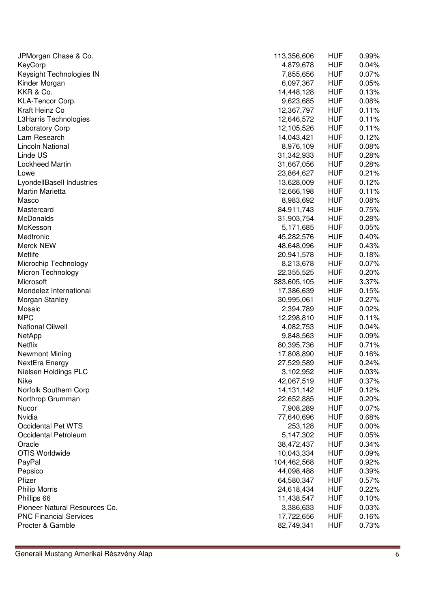| JPMorgan Chase & Co.          | 113,356,606  | <b>HUF</b> | 0.99% |
|-------------------------------|--------------|------------|-------|
| KeyCorp                       | 4,879,678    | <b>HUF</b> | 0.04% |
| Keysight Technologies IN      | 7,855,656    | <b>HUF</b> | 0.07% |
| Kinder Morgan                 | 6,097,367    | <b>HUF</b> | 0.05% |
| KKR & Co.                     | 14,448,128   | <b>HUF</b> | 0.13% |
| KLA-Tencor Corp.              | 9,623,685    | <b>HUF</b> | 0.08% |
| Kraft Heinz Co                | 12,367,797   | <b>HUF</b> | 0.11% |
| L3Harris Technologies         | 12,646,572   | <b>HUF</b> | 0.11% |
| <b>Laboratory Corp</b>        | 12,105,526   | <b>HUF</b> | 0.11% |
| Lam Research                  | 14,043,421   | <b>HUF</b> | 0.12% |
| <b>Lincoln National</b>       | 8,976,109    | <b>HUF</b> | 0.08% |
| Linde US                      | 31,342,933   | <b>HUF</b> | 0.28% |
| <b>Lockheed Martin</b>        | 31,667,056   | <b>HUF</b> | 0.28% |
| Lowe                          | 23,864,627   | <b>HUF</b> | 0.21% |
| LyondellBasell Industries     | 13,628,009   | <b>HUF</b> | 0.12% |
| Martin Marietta               | 12,666,198   | <b>HUF</b> | 0.11% |
| Masco                         | 8,983,692    | <b>HUF</b> | 0.08% |
| Mastercard                    | 84,911,743   | <b>HUF</b> | 0.75% |
| McDonalds                     | 31,903,754   | <b>HUF</b> | 0.28% |
| McKesson                      | 5,171,685    | <b>HUF</b> | 0.05% |
| Medtronic                     | 45,282,576   | <b>HUF</b> | 0.40% |
| Merck NEW                     | 48,648,096   | <b>HUF</b> | 0.43% |
| Metlife                       | 20,941,578   | <b>HUF</b> | 0.18% |
| Microchip Technology          | 8,213,678    | <b>HUF</b> | 0.07% |
| Micron Technology             | 22,355,525   | <b>HUF</b> | 0.20% |
| Microsoft                     | 383,605,105  | <b>HUF</b> | 3.37% |
| Mondelez International        | 17,386,639   | <b>HUF</b> | 0.15% |
| Morgan Stanley                | 30,995,061   | <b>HUF</b> | 0.27% |
| Mosaic                        | 2,394,789    | <b>HUF</b> | 0.02% |
| <b>MPC</b>                    | 12,298,810   | <b>HUF</b> | 0.11% |
| <b>National Oilwell</b>       | 4,082,753    | <b>HUF</b> | 0.04% |
| <b>NetApp</b>                 | 9,848,563    | <b>HUF</b> | 0.09% |
| Netflix                       | 80,395,736   | <b>HUF</b> | 0.71% |
| <b>Newmont Mining</b>         | 17,808,890   | <b>HUF</b> | 0.16% |
| NextEra Energy                | 27,529,589   | <b>HUF</b> | 0.24% |
| Nielsen Holdings PLC          | 3,102,952    | <b>HUF</b> | 0.03% |
| Nike                          | 42,067,519   | <b>HUF</b> | 0.37% |
| Norfolk Southern Corp         | 14, 131, 142 | <b>HUF</b> | 0.12% |
| Northrop Grumman              | 22,652,885   | <b>HUF</b> | 0.20% |
| Nucor                         | 7,908,289    | <b>HUF</b> | 0.07% |
| Nvidia                        | 77,640,696   | <b>HUF</b> | 0.68% |
| Occidental Pet WTS            | 253,128      | <b>HUF</b> | 0.00% |
| Occidental Petroleum          | 5,147,302    | <b>HUF</b> | 0.05% |
| Oracle                        | 38,472,437   | <b>HUF</b> | 0.34% |
| OTIS Worldwide                |              |            |       |
|                               | 10,043,334   | <b>HUF</b> | 0.09% |
| PayPal                        | 104,462,568  | <b>HUF</b> | 0.92% |
| Pepsico                       | 44,098,488   | <b>HUF</b> | 0.39% |
| Pfizer                        | 64,580,347   | <b>HUF</b> | 0.57% |
| <b>Philip Morris</b>          | 24,618,434   | <b>HUF</b> | 0.22% |
| Phillips 66                   | 11,438,547   | <b>HUF</b> | 0.10% |
| Pioneer Natural Resources Co. | 3,386,633    | <b>HUF</b> | 0.03% |
| <b>PNC Financial Services</b> | 17,722,656   | <b>HUF</b> | 0.16% |
| Procter & Gamble              | 82,749,341   | <b>HUF</b> | 0.73% |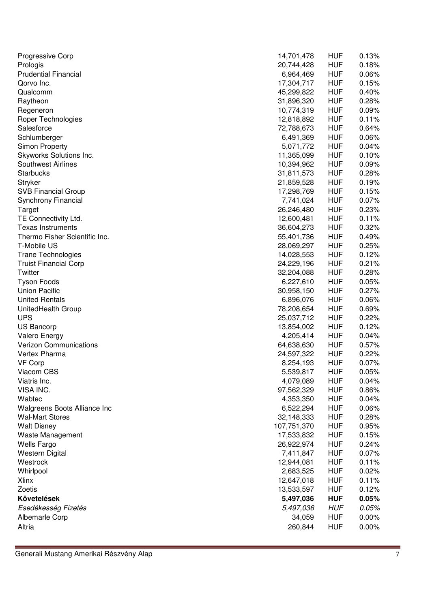| Progressive Corp              | 14,701,478  | <b>HUF</b> | 0.13%    |
|-------------------------------|-------------|------------|----------|
| Prologis                      | 20,744,428  | <b>HUF</b> | 0.18%    |
| <b>Prudential Financial</b>   | 6,964,469   | <b>HUF</b> | 0.06%    |
| Qorvo Inc.                    | 17,304,717  | <b>HUF</b> | 0.15%    |
| Qualcomm                      | 45,299,822  | <b>HUF</b> | 0.40%    |
| Raytheon                      | 31,896,320  | <b>HUF</b> | 0.28%    |
| Regeneron                     | 10,774,319  | <b>HUF</b> | 0.09%    |
| Roper Technologies            | 12,818,892  | <b>HUF</b> | 0.11%    |
| Salesforce                    | 72,788,673  | <b>HUF</b> | 0.64%    |
| Schlumberger                  | 6,491,369   | <b>HUF</b> | 0.06%    |
| <b>Simon Property</b>         | 5,071,772   | <b>HUF</b> | 0.04%    |
| Skyworks Solutions Inc.       | 11,365,099  | <b>HUF</b> | 0.10%    |
| Southwest Airlines            | 10,394,962  | <b>HUF</b> | 0.09%    |
| <b>Starbucks</b>              | 31,811,573  | <b>HUF</b> | 0.28%    |
| Stryker                       | 21,859,528  | <b>HUF</b> | 0.19%    |
| <b>SVB Financial Group</b>    | 17,298,769  | <b>HUF</b> | 0.15%    |
| Synchrony Financial           | 7,741,024   | <b>HUF</b> | 0.07%    |
| Target                        | 26,246,480  | <b>HUF</b> | 0.23%    |
| TE Connectivity Ltd.          | 12,600,481  | <b>HUF</b> | 0.11%    |
| <b>Texas Instruments</b>      | 36,604,273  | <b>HUF</b> | 0.32%    |
| Thermo Fisher Scientific Inc. | 55,401,736  | <b>HUF</b> | 0.49%    |
| T-Mobile US                   | 28,069,297  | <b>HUF</b> | 0.25%    |
| <b>Trane Technologies</b>     | 14,028,553  | <b>HUF</b> | 0.12%    |
| <b>Truist Financial Corp</b>  | 24,229,196  | <b>HUF</b> | 0.21%    |
| Twitter                       | 32,204,088  | <b>HUF</b> | 0.28%    |
|                               |             | <b>HUF</b> | 0.05%    |
| <b>Tyson Foods</b>            | 6,227,610   |            |          |
| <b>Union Pacific</b>          | 30,958,150  | <b>HUF</b> | 0.27%    |
| <b>United Rentals</b>         | 6,896,076   | <b>HUF</b> | 0.06%    |
| UnitedHealth Group            | 78,208,654  | <b>HUF</b> | 0.69%    |
| <b>UPS</b>                    | 25,037,712  | <b>HUF</b> | 0.22%    |
| <b>US Bancorp</b>             | 13,854,002  | <b>HUF</b> | 0.12%    |
| Valero Energy                 | 4,205,414   | <b>HUF</b> | 0.04%    |
| <b>Verizon Communications</b> | 64,638,630  | <b>HUF</b> | 0.57%    |
| Vertex Pharma                 | 24,597,322  | <b>HUF</b> | 0.22%    |
| <b>VF Corp</b>                | 8,254,193   | <b>HUF</b> | 0.07%    |
| Viacom CBS                    | 5,539,817   | <b>HUF</b> | 0.05%    |
| Viatris Inc.                  | 4,079,089   | <b>HUF</b> | $0.04\%$ |
| VISA INC.                     | 97,562,329  | <b>HUF</b> | 0.86%    |
| Wabtec                        | 4,353,350   | <b>HUF</b> | 0.04%    |
| Walgreens Boots Alliance Inc  | 6,522,294   | <b>HUF</b> | 0.06%    |
| <b>Wal-Mart Stores</b>        | 32,148,333  | <b>HUF</b> | 0.28%    |
| <b>Walt Disney</b>            | 107,751,370 | <b>HUF</b> | 0.95%    |
| Waste Management              | 17,533,832  | <b>HUF</b> | 0.15%    |
| <b>Wells Fargo</b>            | 26,922,974  | <b>HUF</b> | 0.24%    |
| <b>Western Digital</b>        | 7,411,847   | <b>HUF</b> | 0.07%    |
| Westrock                      | 12,944,081  | <b>HUF</b> | 0.11%    |
| Whirlpool                     | 2,683,525   | <b>HUF</b> | 0.02%    |
| <b>Xlinx</b>                  | 12,647,018  | <b>HUF</b> | 0.11%    |
| Zoetis                        | 13,533,597  | <b>HUF</b> | 0.12%    |
| Követelések                   | 5,497,036   | <b>HUF</b> | 0.05%    |
| Esedékesség Fizetés           | 5,497,036   | <b>HUF</b> | 0.05%    |
| Albemarle Corp                | 34,059      | <b>HUF</b> | $0.00\%$ |
| Altria                        | 260,844     | <b>HUF</b> | 0.00%    |
|                               |             |            |          |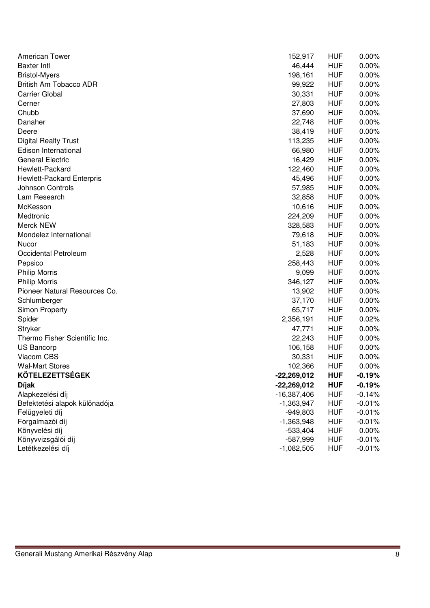| <b>American Tower</b>         | 152,917       | <b>HUF</b> | 0.00%    |
|-------------------------------|---------------|------------|----------|
| <b>Baxter Intl</b>            | 46,444        | <b>HUF</b> | 0.00%    |
| <b>Bristol-Myers</b>          | 198,161       | <b>HUF</b> | 0.00%    |
| British Am Tobacco ADR        | 99,922        | <b>HUF</b> | 0.00%    |
| <b>Carrier Global</b>         | 30,331        | <b>HUF</b> | 0.00%    |
| Cerner                        | 27,803        | <b>HUF</b> | 0.00%    |
| Chubb                         | 37,690        | <b>HUF</b> | 0.00%    |
| Danaher                       | 22,748        | <b>HUF</b> | 0.00%    |
| Deere                         | 38,419        | <b>HUF</b> | 0.00%    |
| <b>Digital Realty Trust</b>   | 113,235       | <b>HUF</b> | 0.00%    |
| Edison International          | 66,980        | <b>HUF</b> | 0.00%    |
| <b>General Electric</b>       | 16,429        | <b>HUF</b> | 0.00%    |
| Hewlett-Packard               | 122,460       | <b>HUF</b> | 0.00%    |
| Hewlett-Packard Enterpris     | 45,496        | <b>HUF</b> | 0.00%    |
| Johnson Controls              | 57,985        | <b>HUF</b> | 0.00%    |
| Lam Research                  | 32,858        | <b>HUF</b> | 0.00%    |
| McKesson                      | 10,616        | <b>HUF</b> | 0.00%    |
| Medtronic                     | 224,209       | <b>HUF</b> | 0.00%    |
| Merck NEW                     | 328,583       | <b>HUF</b> | 0.00%    |
| Mondelez International        | 79,618        | <b>HUF</b> | 0.00%    |
| Nucor                         | 51,183        | <b>HUF</b> | 0.00%    |
| Occidental Petroleum          | 2,528         | <b>HUF</b> | 0.00%    |
| Pepsico                       | 258,443       | <b>HUF</b> | 0.00%    |
| <b>Philip Morris</b>          | 9,099         | <b>HUF</b> | 0.00%    |
| <b>Philip Morris</b>          | 346,127       | <b>HUF</b> | 0.00%    |
| Pioneer Natural Resources Co. | 13,902        | <b>HUF</b> | 0.00%    |
| Schlumberger                  | 37,170        | <b>HUF</b> | 0.00%    |
| <b>Simon Property</b>         | 65,717        | <b>HUF</b> | 0.00%    |
| Spider                        | 2,356,191     | <b>HUF</b> | 0.02%    |
| Stryker                       | 47,771        | <b>HUF</b> | $0.00\%$ |
| Thermo Fisher Scientific Inc. | 22,243        | <b>HUF</b> | 0.00%    |
| US Bancorp                    | 106,158       | <b>HUF</b> | 0.00%    |
| Viacom CBS                    | 30,331        | <b>HUF</b> | 0.00%    |
| <b>Wal-Mart Stores</b>        | 102,366       | <b>HUF</b> | 0.00%    |
| <b>KÖTELEZETTSÉGEK</b>        | $-22,269,012$ | <b>HUF</b> | $-0.19%$ |
| <b>Díjak</b>                  | $-22,269,012$ | <b>HUF</b> | $-0.19%$ |
| Alapkezelési díj              | $-16,387,406$ | <b>HUF</b> | $-0.14%$ |
| Befektetési alapok különadója | $-1,363,947$  | <b>HUF</b> | $-0.01%$ |
| Felügyeleti díj               | $-949,803$    | <b>HUF</b> | $-0.01%$ |
| Forgalmazói díj               | $-1,363,948$  | <b>HUF</b> | $-0.01%$ |
| Könyvelési díj                | $-533,404$    | <b>HUF</b> | 0.00%    |
| Könyvvizsgálói díj            | $-587,999$    | <b>HUF</b> | $-0.01%$ |
| Letétkezelési díj             | $-1,082,505$  | <b>HUF</b> | $-0.01%$ |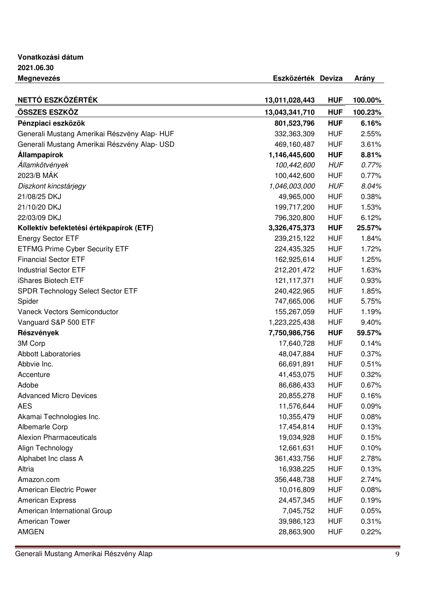**Vonatkozási dátum 2021.06.30 Megnevezés Eszközérték Deviza Arány** 

| NETTÓ ESZKÖZÉRTÉK                            | 13,011,028,443 | <b>HUF</b> | 100.00% |
|----------------------------------------------|----------------|------------|---------|
| ÖSSZES ESZKÖZ                                | 13,043,341,710 | <b>HUF</b> | 100.23% |
| Pénzpiaci eszközök                           | 801,523,796    | <b>HUF</b> | 6.16%   |
| Generali Mustang Amerikai Részvény Alap-HUF  | 332,363,309    | <b>HUF</b> | 2.55%   |
| Generali Mustang Amerikai Részvény Alap- USD | 469,160,487    | <b>HUF</b> | 3.61%   |
| <b>Állampapírok</b>                          | 1,146,445,600  | <b>HUF</b> | 8.81%   |
| Államkötvények                               | 100,442,600    | <b>HUF</b> | 0.77%   |
| 2023/B MÁK                                   | 100,442,600    | <b>HUF</b> | 0.77%   |
| Diszkont kincstárjegy                        | 1,046,003,000  | <b>HUF</b> | 8.04%   |
| 21/08/25 DKJ                                 | 49,965,000     | <b>HUF</b> | 0.38%   |
| 21/10/20 DKJ                                 | 199,717,200    | <b>HUF</b> | 1.53%   |
| 22/03/09 DKJ                                 | 796,320,800    | <b>HUF</b> | 6.12%   |
| Kollektív befektetési értékpapírok (ETF)     | 3,326,475,373  | <b>HUF</b> | 25.57%  |
| <b>Energy Sector ETF</b>                     | 239,215,122    | <b>HUF</b> | 1.84%   |
| <b>ETFMG Prime Cyber Security ETF</b>        | 224,435,325    | <b>HUF</b> | 1.72%   |
| <b>Financial Sector ETF</b>                  | 162,925,614    | <b>HUF</b> | 1.25%   |
| <b>Industrial Sector ETF</b>                 | 212,201,472    | <b>HUF</b> | 1.63%   |
| iShares Biotech ETF                          | 121, 117, 371  | <b>HUF</b> | 0.93%   |
| SPDR Technology Select Sector ETF            | 240,422,965    | <b>HUF</b> | 1.85%   |
| Spider                                       | 747,665,006    | <b>HUF</b> | 5.75%   |
| Vaneck Vectors Semiconductor                 | 155,267,059    | <b>HUF</b> | 1.19%   |
| Vanguard S&P 500 ETF                         | 1,223,225,438  | <b>HUF</b> | 9.40%   |
| Részvények                                   | 7,750,986,756  | <b>HUF</b> | 59.57%  |
| 3M Corp                                      | 17,640,728     | <b>HUF</b> | 0.14%   |
| <b>Abbott Laboratories</b>                   | 48,047,884     | <b>HUF</b> | 0.37%   |
| Abbvie Inc.                                  | 66,691,891     | <b>HUF</b> | 0.51%   |
| Accenture                                    | 41,453,075     | <b>HUF</b> | 0.32%   |
| Adobe                                        | 86,686,433     | <b>HUF</b> | 0.67%   |
| <b>Advanced Micro Devices</b>                | 20,855,278     | <b>HUF</b> | 0.16%   |
| <b>AES</b>                                   | 11,576,644     | <b>HUF</b> | 0.09%   |
| Akamai Technologies Inc.                     | 10,355,479     | <b>HUF</b> | 0.08%   |
| Albemarle Corp                               | 17,454,814     | <b>HUF</b> | 0.13%   |
| <b>Alexion Pharmaceuticals</b>               | 19,034,928     | <b>HUF</b> | 0.15%   |
| Align Technology                             | 12,661,631     | <b>HUF</b> | 0.10%   |
| Alphabet Inc class A                         | 361,433,756    | <b>HUF</b> | 2.78%   |
| Altria                                       | 16,938,225     | <b>HUF</b> | 0.13%   |
| Amazon.com                                   | 356,448,738    | <b>HUF</b> | 2.74%   |
| American Electric Power                      | 10,016,809     | <b>HUF</b> | 0.08%   |
| <b>American Express</b>                      | 24,457,345     | <b>HUF</b> | 0.19%   |
| American International Group                 | 7,045,752      | <b>HUF</b> | 0.05%   |
| American Tower                               | 39,986,123     | <b>HUF</b> | 0.31%   |
| <b>AMGEN</b>                                 | 28,863,900     | <b>HUF</b> | 0.22%   |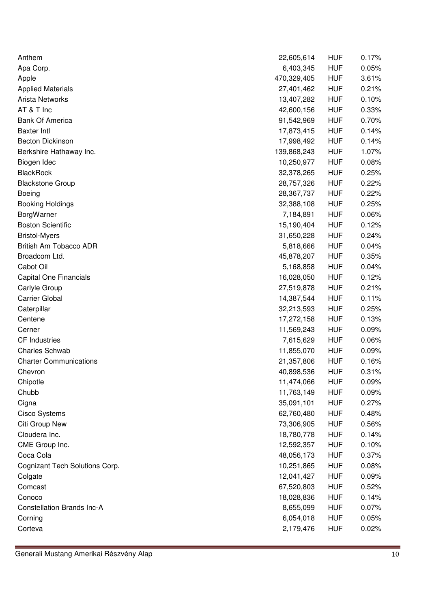| Anthem                            | 22,605,614  | <b>HUF</b> | 0.17% |
|-----------------------------------|-------------|------------|-------|
| Apa Corp.                         | 6,403,345   | <b>HUF</b> | 0.05% |
| Apple                             | 470,329,405 | <b>HUF</b> | 3.61% |
| <b>Applied Materials</b>          | 27,401,462  | <b>HUF</b> | 0.21% |
| Arista Networks                   | 13,407,282  | <b>HUF</b> | 0.10% |
| AT & T Inc                        | 42,600,156  | <b>HUF</b> | 0.33% |
| <b>Bank Of America</b>            | 91,542,969  | <b>HUF</b> | 0.70% |
| <b>Baxter Intl</b>                | 17,873,415  | <b>HUF</b> | 0.14% |
| <b>Becton Dickinson</b>           | 17,998,492  | <b>HUF</b> | 0.14% |
| Berkshire Hathaway Inc.           | 139,868,243 | <b>HUF</b> | 1.07% |
| Biogen Idec                       | 10,250,977  | <b>HUF</b> | 0.08% |
| <b>BlackRock</b>                  | 32,378,265  | <b>HUF</b> | 0.25% |
| <b>Blackstone Group</b>           | 28,757,326  | <b>HUF</b> | 0.22% |
| <b>Boeing</b>                     | 28,367,737  | <b>HUF</b> | 0.22% |
| <b>Booking Holdings</b>           | 32,388,108  | <b>HUF</b> | 0.25% |
| BorgWarner                        | 7,184,891   | <b>HUF</b> | 0.06% |
| <b>Boston Scientific</b>          | 15,190,404  | <b>HUF</b> | 0.12% |
| <b>Bristol-Myers</b>              | 31,650,228  | <b>HUF</b> | 0.24% |
| British Am Tobacco ADR            | 5,818,666   | <b>HUF</b> | 0.04% |
| Broadcom Ltd.                     | 45,878,207  | <b>HUF</b> | 0.35% |
| Cabot Oil                         | 5,168,858   | <b>HUF</b> | 0.04% |
| <b>Capital One Financials</b>     | 16,028,050  | <b>HUF</b> | 0.12% |
| Carlyle Group                     | 27,519,878  | <b>HUF</b> | 0.21% |
| <b>Carrier Global</b>             | 14,387,544  | <b>HUF</b> | 0.11% |
| Caterpillar                       | 32,213,593  | <b>HUF</b> | 0.25% |
| Centene                           | 17,272,158  | <b>HUF</b> | 0.13% |
| Cerner                            | 11,569,243  | <b>HUF</b> | 0.09% |
| <b>CF Industries</b>              | 7,615,629   | <b>HUF</b> | 0.06% |
| <b>Charles Schwab</b>             | 11,855,070  | <b>HUF</b> | 0.09% |
| <b>Charter Communications</b>     | 21,357,806  | <b>HUF</b> | 0.16% |
| Chevron                           | 40,898,536  | <b>HUF</b> | 0.31% |
| Chipotle                          | 11,474,066  | <b>HUF</b> | 0.09% |
| Chubb                             | 11,763,149  | <b>HUF</b> | 0.09% |
| Cigna                             | 35,091,101  | <b>HUF</b> | 0.27% |
| <b>Cisco Systems</b>              | 62,760,480  | <b>HUF</b> | 0.48% |
| Citi Group New                    | 73,306,905  | <b>HUF</b> | 0.56% |
| Cloudera Inc.                     | 18,780,778  | <b>HUF</b> | 0.14% |
| CME Group Inc.                    | 12,592,357  | <b>HUF</b> | 0.10% |
| Coca Cola                         | 48,056,173  | <b>HUF</b> | 0.37% |
| Cognizant Tech Solutions Corp.    | 10,251,865  | <b>HUF</b> | 0.08% |
| Colgate                           | 12,041,427  | <b>HUF</b> | 0.09% |
| Comcast                           | 67,520,803  | <b>HUF</b> | 0.52% |
| Conoco                            | 18,028,836  | <b>HUF</b> | 0.14% |
| <b>Constellation Brands Inc-A</b> | 8,655,099   | <b>HUF</b> | 0.07% |
| Corning                           | 6,054,018   | <b>HUF</b> | 0.05% |
| Corteva                           | 2,179,476   | <b>HUF</b> | 0.02% |
|                                   |             |            |       |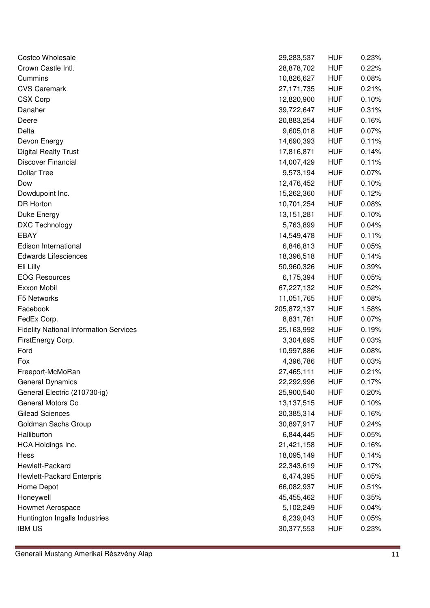| Costco Wholesale                              | 29,283,537   | <b>HUF</b> | 0.23% |
|-----------------------------------------------|--------------|------------|-------|
| Crown Castle Intl.                            | 28,878,702   | <b>HUF</b> | 0.22% |
| Cummins                                       | 10,826,627   | <b>HUF</b> | 0.08% |
| <b>CVS Caremark</b>                           | 27,171,735   | <b>HUF</b> | 0.21% |
| <b>CSX Corp</b>                               | 12,820,900   | <b>HUF</b> | 0.10% |
| Danaher                                       | 39,722,647   | <b>HUF</b> | 0.31% |
| Deere                                         | 20,883,254   | <b>HUF</b> | 0.16% |
| Delta                                         | 9,605,018    | <b>HUF</b> | 0.07% |
| Devon Energy                                  | 14,690,393   | <b>HUF</b> | 0.11% |
| <b>Digital Realty Trust</b>                   | 17,816,871   | <b>HUF</b> | 0.14% |
| Discover Financial                            | 14,007,429   | <b>HUF</b> | 0.11% |
| <b>Dollar Tree</b>                            | 9,573,194    | <b>HUF</b> | 0.07% |
| Dow                                           | 12,476,452   | <b>HUF</b> | 0.10% |
| Dowdupoint Inc.                               | 15,262,360   | <b>HUF</b> | 0.12% |
| <b>DR Horton</b>                              | 10,701,254   | <b>HUF</b> | 0.08% |
| Duke Energy                                   | 13, 151, 281 | <b>HUF</b> | 0.10% |
| DXC Technology                                | 5,763,899    | <b>HUF</b> | 0.04% |
| <b>EBAY</b>                                   | 14,549,478   | <b>HUF</b> | 0.11% |
| Edison International                          | 6,846,813    | <b>HUF</b> | 0.05% |
| <b>Edwards Lifesciences</b>                   | 18,396,518   | <b>HUF</b> | 0.14% |
| Eli Lilly                                     | 50,960,326   | <b>HUF</b> | 0.39% |
| <b>EOG Resources</b>                          | 6,175,394    | <b>HUF</b> | 0.05% |
| Exxon Mobil                                   | 67,227,132   | <b>HUF</b> | 0.52% |
| F5 Networks                                   | 11,051,765   | <b>HUF</b> | 0.08% |
| Facebook                                      | 205,872,137  | <b>HUF</b> | 1.58% |
| FedEx Corp.                                   | 8,831,761    | <b>HUF</b> | 0.07% |
| <b>Fidelity National Information Services</b> | 25,163,992   | <b>HUF</b> | 0.19% |
| FirstEnergy Corp.                             | 3,304,695    | <b>HUF</b> | 0.03% |
| Ford                                          | 10,997,886   | <b>HUF</b> | 0.08% |
| Fox                                           | 4,396,786    | <b>HUF</b> | 0.03% |
| Freeport-McMoRan                              | 27,465,111   | <b>HUF</b> | 0.21% |
| <b>General Dynamics</b>                       | 22,292,996   | <b>HUF</b> | 0.17% |
| General Electric (210730-ig)                  | 25,900,540   | <b>HUF</b> | 0.20% |
| General Motors Co                             | 13,137,515   | <b>HUF</b> | 0.10% |
| <b>Gilead Sciences</b>                        | 20,385,314   | <b>HUF</b> | 0.16% |
| Goldman Sachs Group                           | 30,897,917   | <b>HUF</b> | 0.24% |
| Halliburton                                   | 6,844,445    | <b>HUF</b> | 0.05% |
| HCA Holdings Inc.                             | 21,421,158   | <b>HUF</b> | 0.16% |
| Hess                                          | 18,095,149   | <b>HUF</b> | 0.14% |
| Hewlett-Packard                               | 22,343,619   | <b>HUF</b> | 0.17% |
| Hewlett-Packard Enterpris                     | 6,474,395    | <b>HUF</b> | 0.05% |
| Home Depot                                    | 66,082,937   | <b>HUF</b> | 0.51% |
| Honeywell                                     | 45,455,462   | <b>HUF</b> | 0.35% |
| Howmet Aerospace                              | 5,102,249    | <b>HUF</b> | 0.04% |
| Huntington Ingalls Industries                 | 6,239,043    | <b>HUF</b> | 0.05% |
| <b>IBM US</b>                                 | 30,377,553   | <b>HUF</b> | 0.23% |
|                                               |              |            |       |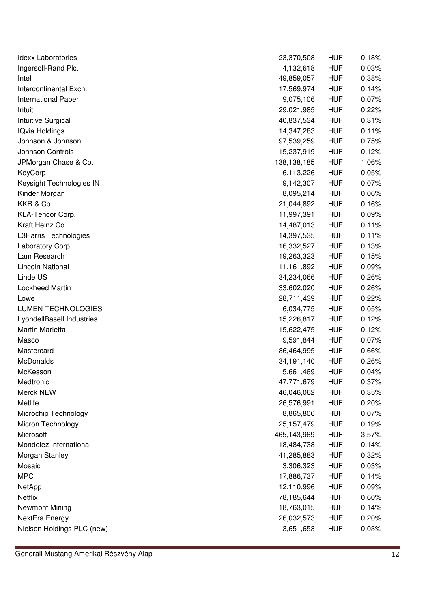| Idexx Laboratories         | 23,370,508    | <b>HUF</b> | 0.18% |
|----------------------------|---------------|------------|-------|
| Ingersoll-Rand Plc.        | 4,132,618     | <b>HUF</b> | 0.03% |
| Intel                      | 49,859,057    | <b>HUF</b> | 0.38% |
| Intercontinental Exch.     | 17,569,974    | <b>HUF</b> | 0.14% |
| International Paper        | 9,075,106     | <b>HUF</b> | 0.07% |
| Intuit                     | 29,021,985    | <b>HUF</b> | 0.22% |
| Intuitive Surgical         | 40,837,534    | <b>HUF</b> | 0.31% |
| <b>IQvia Holdings</b>      | 14,347,283    | <b>HUF</b> | 0.11% |
| Johnson & Johnson          | 97,539,259    | <b>HUF</b> | 0.75% |
| Johnson Controls           | 15,237,919    | <b>HUF</b> | 0.12% |
| JPMorgan Chase & Co.       | 138, 138, 185 | <b>HUF</b> | 1.06% |
| KeyCorp                    | 6,113,226     | <b>HUF</b> | 0.05% |
| Keysight Technologies IN   | 9,142,307     | <b>HUF</b> | 0.07% |
| Kinder Morgan              | 8,095,214     | <b>HUF</b> | 0.06% |
| KKR & Co.                  | 21,044,892    | <b>HUF</b> | 0.16% |
| KLA-Tencor Corp.           | 11,997,391    | <b>HUF</b> | 0.09% |
| Kraft Heinz Co             | 14,487,013    | <b>HUF</b> | 0.11% |
| L3Harris Technologies      | 14,397,535    | <b>HUF</b> | 0.11% |
| Laboratory Corp            | 16,332,527    | <b>HUF</b> | 0.13% |
| Lam Research               | 19,263,323    | <b>HUF</b> | 0.15% |
| Lincoln National           | 11,161,892    | <b>HUF</b> | 0.09% |
| Linde US                   | 34,234,066    | <b>HUF</b> | 0.26% |
| Lockheed Martin            | 33,602,020    | <b>HUF</b> | 0.26% |
| Lowe                       | 28,711,439    | <b>HUF</b> | 0.22% |
| <b>LUMEN TECHNOLOGIES</b>  | 6,034,775     | <b>HUF</b> | 0.05% |
| LyondellBasell Industries  | 15,226,817    | <b>HUF</b> | 0.12% |
| Martin Marietta            | 15,622,475    | <b>HUF</b> | 0.12% |
| Masco                      | 9,591,844     | <b>HUF</b> | 0.07% |
| Mastercard                 | 86,464,995    | <b>HUF</b> | 0.66% |
| McDonalds                  | 34,191,140    | <b>HUF</b> | 0.26% |
| McKesson                   | 5,661,469     | <b>HUF</b> | 0.04% |
| Medtronic                  | 47,771,679    | <b>HUF</b> | 0.37% |
| Merck NEW                  | 46,046,062    | <b>HUF</b> | 0.35% |
| Metlife                    | 26,576,991    | <b>HUF</b> | 0.20% |
| Microchip Technology       | 8,865,806     | <b>HUF</b> | 0.07% |
| Micron Technology          | 25, 157, 479  | <b>HUF</b> | 0.19% |
| Microsoft                  | 465,143,969   | <b>HUF</b> | 3.57% |
| Mondelez International     | 18,484,738    | <b>HUF</b> | 0.14% |
| Morgan Stanley             | 41,285,883    | <b>HUF</b> | 0.32% |
| Mosaic                     | 3,306,323     | <b>HUF</b> | 0.03% |
| <b>MPC</b>                 | 17,886,737    | <b>HUF</b> | 0.14% |
| NetApp                     | 12,110,996    | <b>HUF</b> | 0.09% |
| Netflix                    | 78,185,644    | <b>HUF</b> | 0.60% |
| Newmont Mining             | 18,763,015    | <b>HUF</b> | 0.14% |
| NextEra Energy             | 26,032,573    | <b>HUF</b> | 0.20% |
| Nielsen Holdings PLC (new) | 3,651,653     | <b>HUF</b> | 0.03% |
|                            |               |            |       |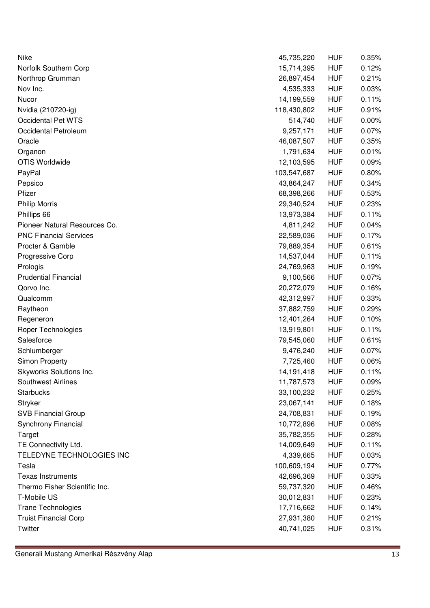| Nike                          | 45,735,220  | <b>HUF</b> | 0.35% |
|-------------------------------|-------------|------------|-------|
| Norfolk Southern Corp         | 15,714,395  | <b>HUF</b> | 0.12% |
| Northrop Grumman              | 26,897,454  | <b>HUF</b> | 0.21% |
| Nov Inc.                      | 4,535,333   | <b>HUF</b> | 0.03% |
| Nucor                         | 14,199,559  | <b>HUF</b> | 0.11% |
| Nvidia (210720-ig)            | 118,430,802 | <b>HUF</b> | 0.91% |
| Occidental Pet WTS            | 514,740     | <b>HUF</b> | 0.00% |
| Occidental Petroleum          | 9,257,171   | <b>HUF</b> | 0.07% |
| Oracle                        | 46,087,507  | <b>HUF</b> | 0.35% |
| Organon                       | 1,791,634   | <b>HUF</b> | 0.01% |
| <b>OTIS Worldwide</b>         | 12,103,595  | <b>HUF</b> | 0.09% |
| PayPal                        | 103,547,687 | <b>HUF</b> | 0.80% |
| Pepsico                       | 43,864,247  | <b>HUF</b> | 0.34% |
| Pfizer                        | 68,398,266  | <b>HUF</b> | 0.53% |
| <b>Philip Morris</b>          | 29,340,524  | <b>HUF</b> | 0.23% |
| Phillips 66                   | 13,973,384  | <b>HUF</b> | 0.11% |
| Pioneer Natural Resources Co. | 4,811,242   | <b>HUF</b> | 0.04% |
| <b>PNC Financial Services</b> | 22,589,036  | <b>HUF</b> | 0.17% |
| Procter & Gamble              | 79,889,354  | <b>HUF</b> | 0.61% |
| Progressive Corp              | 14,537,044  | <b>HUF</b> | 0.11% |
| Prologis                      | 24,769,963  | <b>HUF</b> | 0.19% |
| <b>Prudential Financial</b>   | 9,100,566   | <b>HUF</b> | 0.07% |
| Qorvo Inc.                    | 20,272,079  | <b>HUF</b> | 0.16% |
| Qualcomm                      | 42,312,997  | <b>HUF</b> | 0.33% |
| Raytheon                      | 37,882,759  | <b>HUF</b> | 0.29% |
| Regeneron                     | 12,401,264  | <b>HUF</b> | 0.10% |
| Roper Technologies            | 13,919,801  | <b>HUF</b> | 0.11% |
| Salesforce                    | 79,545,060  | <b>HUF</b> | 0.61% |
| Schlumberger                  | 9,476,240   | <b>HUF</b> | 0.07% |
| Simon Property                | 7,725,460   | <b>HUF</b> | 0.06% |
| Skyworks Solutions Inc.       | 14,191,418  | <b>HUF</b> | 0.11% |
| Southwest Airlines            | 11,787,573  | <b>HUF</b> | 0.09% |
| <b>Starbucks</b>              | 33,100,232  | <b>HUF</b> | 0.25% |
| Stryker                       | 23,067,141  | <b>HUF</b> | 0.18% |
| <b>SVB Financial Group</b>    | 24,708,831  | <b>HUF</b> | 0.19% |
| Synchrony Financial           | 10,772,896  | <b>HUF</b> | 0.08% |
| Target                        | 35,782,355  | <b>HUF</b> | 0.28% |
| TE Connectivity Ltd.          | 14,009,649  | <b>HUF</b> | 0.11% |
| TELEDYNE TECHNOLOGIES INC     | 4,339,665   | <b>HUF</b> | 0.03% |
| Tesla                         | 100,609,194 | <b>HUF</b> | 0.77% |
| <b>Texas Instruments</b>      | 42,696,369  | <b>HUF</b> | 0.33% |
| Thermo Fisher Scientific Inc. | 59,737,320  | <b>HUF</b> | 0.46% |
| T-Mobile US                   | 30,012,831  | <b>HUF</b> | 0.23% |
| Trane Technologies            | 17,716,662  | <b>HUF</b> | 0.14% |
| <b>Truist Financial Corp</b>  | 27,931,380  | <b>HUF</b> | 0.21% |
| Twitter                       | 40,741,025  | <b>HUF</b> | 0.31% |
|                               |             |            |       |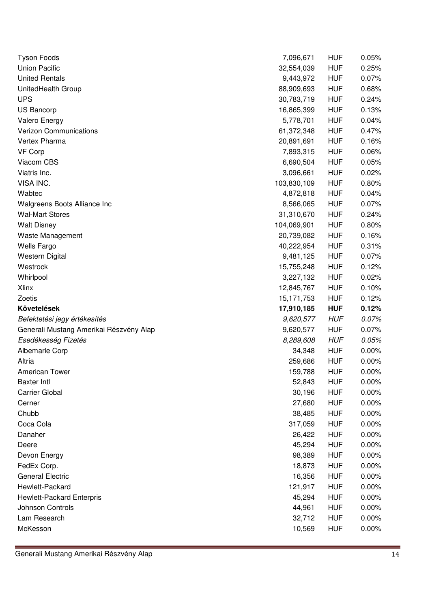| <b>Tyson Foods</b>                      | 7,096,671   | <b>HUF</b> | 0.05%    |
|-----------------------------------------|-------------|------------|----------|
| <b>Union Pacific</b>                    | 32,554,039  | <b>HUF</b> | 0.25%    |
| <b>United Rentals</b>                   | 9,443,972   | <b>HUF</b> | 0.07%    |
| UnitedHealth Group                      | 88,909,693  | <b>HUF</b> | 0.68%    |
| <b>UPS</b>                              | 30,783,719  | <b>HUF</b> | 0.24%    |
| US Bancorp                              | 16,865,399  | <b>HUF</b> | 0.13%    |
| <b>Valero Energy</b>                    | 5,778,701   | <b>HUF</b> | 0.04%    |
| <b>Verizon Communications</b>           | 61,372,348  | <b>HUF</b> | 0.47%    |
| Vertex Pharma                           | 20,891,691  | <b>HUF</b> | 0.16%    |
| VF Corp                                 | 7,893,315   | <b>HUF</b> | 0.06%    |
| Viacom CBS                              | 6,690,504   | <b>HUF</b> | 0.05%    |
| Viatris Inc.                            | 3,096,661   | <b>HUF</b> | 0.02%    |
| VISA INC.                               | 103,830,109 | <b>HUF</b> | 0.80%    |
| Wabtec                                  | 4,872,818   | <b>HUF</b> | 0.04%    |
| Walgreens Boots Alliance Inc            | 8,566,065   | <b>HUF</b> | 0.07%    |
| <b>Wal-Mart Stores</b>                  | 31,310,670  | <b>HUF</b> | 0.24%    |
| <b>Walt Disney</b>                      | 104,069,901 | <b>HUF</b> | 0.80%    |
| Waste Management                        | 20,739,082  | <b>HUF</b> | 0.16%    |
| Wells Fargo                             | 40,222,954  | <b>HUF</b> | 0.31%    |
| <b>Western Digital</b>                  | 9,481,125   | <b>HUF</b> | 0.07%    |
| Westrock                                | 15,755,248  | <b>HUF</b> | 0.12%    |
| Whirlpool                               | 3,227,132   | <b>HUF</b> | 0.02%    |
| <b>Xlinx</b>                            | 12,845,767  | <b>HUF</b> | 0.10%    |
| Zoetis                                  | 15,171,753  | <b>HUF</b> | 0.12%    |
| Követelések                             | 17,910,185  | <b>HUF</b> | 0.12%    |
| Befektetési jegy értékesítés            | 9,620,577   | <b>HUF</b> | 0.07%    |
| Generali Mustang Amerikai Részvény Alap | 9,620,577   | <b>HUF</b> | 0.07%    |
| Esedékesség Fizetés                     | 8,289,608   | <b>HUF</b> | 0.05%    |
| <b>Albemarle Corp</b>                   | 34,348      | <b>HUF</b> | 0.00%    |
|                                         |             |            |          |
| Altria                                  | 259,686     | <b>HUF</b> | 0.00%    |
| <b>American Tower</b>                   | 159,788     | <b>HUF</b> | 0.00%    |
| <b>Baxter Intl</b>                      | 52,843      | <b>HUF</b> | $0.00\%$ |
| <b>Carrier Global</b>                   | 30,196      | <b>HUF</b> | 0.00%    |
| Cerner                                  | 27,680      | <b>HUF</b> | 0.00%    |
| Chubb                                   | 38,485      | <b>HUF</b> | 0.00%    |
| Coca Cola                               | 317,059     | <b>HUF</b> | 0.00%    |
| Danaher                                 | 26,422      | <b>HUF</b> | 0.00%    |
| Deere                                   | 45,294      | <b>HUF</b> | 0.00%    |
| Devon Energy                            | 98,389      | <b>HUF</b> | 0.00%    |
| FedEx Corp.                             | 18,873      | <b>HUF</b> | 0.00%    |
| <b>General Electric</b>                 | 16,356      | <b>HUF</b> | 0.00%    |
| Hewlett-Packard                         | 121,917     | <b>HUF</b> | 0.00%    |
| Hewlett-Packard Enterpris               | 45,294      | <b>HUF</b> | 0.00%    |
| Johnson Controls                        | 44,961      | <b>HUF</b> | 0.00%    |
| Lam Research                            | 32,712      | <b>HUF</b> | 0.00%    |
| McKesson                                | 10,569      | <b>HUF</b> | 0.00%    |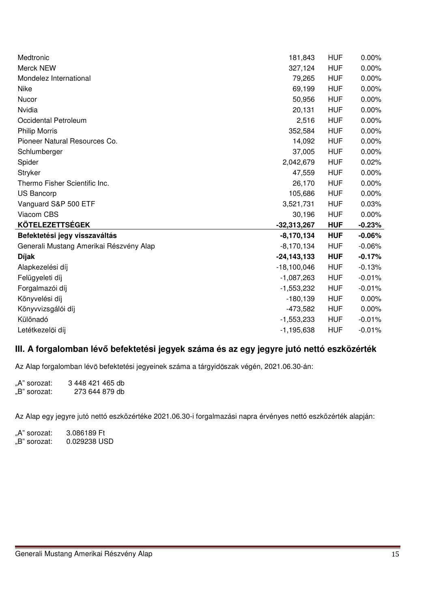| Medtronic                               | 181,843         | <b>HUF</b> | $0.00\%$ |
|-----------------------------------------|-----------------|------------|----------|
| Merck NEW                               | 327,124         | <b>HUF</b> | 0.00%    |
| Mondelez International                  | 79,265          | <b>HUF</b> | 0.00%    |
| Nike                                    | 69,199          | <b>HUF</b> | 0.00%    |
| Nucor                                   | 50,956          | <b>HUF</b> | 0.00%    |
| Nvidia                                  | 20,131          | <b>HUF</b> | 0.00%    |
| Occidental Petroleum                    | 2,516           | <b>HUF</b> | 0.00%    |
| <b>Philip Morris</b>                    | 352,584         | <b>HUF</b> | 0.00%    |
| Pioneer Natural Resources Co.           | 14,092          | <b>HUF</b> | 0.00%    |
| Schlumberger                            | 37,005          | <b>HUF</b> | 0.00%    |
| Spider                                  | 2,042,679       | <b>HUF</b> | 0.02%    |
| Stryker                                 | 47,559          | <b>HUF</b> | 0.00%    |
| Thermo Fisher Scientific Inc.           | 26,170          | <b>HUF</b> | 0.00%    |
| <b>US Bancorp</b>                       | 105,686         | <b>HUF</b> | 0.00%    |
| Vanguard S&P 500 ETF                    | 3,521,731       | <b>HUF</b> | 0.03%    |
| Viacom CBS                              | 30,196          | <b>HUF</b> | 0.00%    |
| <b>KÖTELEZETTSÉGEK</b>                  | $-32,313,267$   | <b>HUF</b> | $-0.23%$ |
| Befektetési jegy visszaváltás           | $-8,170,134$    | <b>HUF</b> | $-0.06%$ |
| Generali Mustang Amerikai Részvény Alap | $-8,170,134$    | <b>HUF</b> | $-0.06%$ |
| <b>Díjak</b>                            | $-24, 143, 133$ | <b>HUF</b> | $-0.17%$ |
| Alapkezelési díj                        | $-18,100,046$   | <b>HUF</b> | $-0.13%$ |
| Felügyeleti díj                         | $-1,087,263$    | <b>HUF</b> | $-0.01%$ |
| Forgalmazói díj                         | $-1,553,232$    | <b>HUF</b> | $-0.01%$ |
| Könyvelési díj                          | $-180, 139$     | <b>HUF</b> | 0.00%    |
| Könyvvizsgálói díj                      | $-473,582$      | <b>HUF</b> | 0.00%    |
| Különadó                                | $-1,553,233$    | <b>HUF</b> | $-0.01%$ |
| Letétkezelői díj                        | $-1,195,638$    | <b>HUF</b> | $-0.01%$ |

## **III. A forgalomban lév befektetési jegyek száma és az egy jegyre jutó nettó eszközérték**

Az Alap forgalomban lévő befektetési jegyeinek száma a tárgyidőszak végén, 2021.06.30-án:

"A" sorozat: 3 448 421 465 db<br>"B" sorozat: 273 644 879 db 273 644 879 db

Az Alap egy jegyre jutó nettó eszközértéke 2021.06.30-i forgalmazási napra érvényes nettó eszközérték alapján:

"A" sorozat: 3.086189 Ft<br>"B" sorozat: 0.029238 US 0.029238 USD